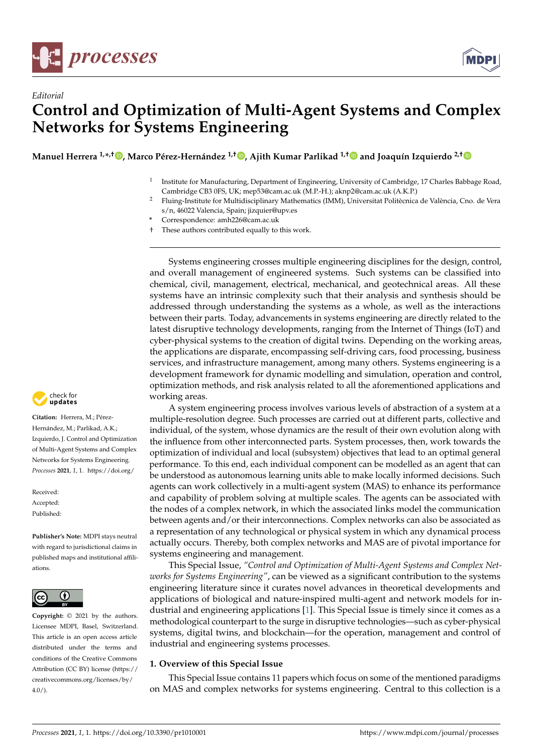

*Editorial*



# **Control and Optimization of Multi-Agent Systems and Complex Networks for Systems Engineering**

**Manuel Herrera 1,\* ,† [,](https://orcid.org/0000-0001-9662-0017) Marco Pérez-Hernández 1,† [,](https://orcid.org/0000-0001-9697-3672) Ajith Kumar Parlikad 1,† and Joaquín Izquierdo 2,[†](https://orcid.org/0000-0002-6625-7226)**

- 1 Institute for Manufacturing, Department of Engineering, University of Cambridge, 17 Charles Babbage Road, Cambridge CB3 0FS, UK; mep53@cam.ac.uk (M.P.-H.); aknp2@cam.ac.uk (A.K.P.)
- <sup>2</sup> Fluing-Institute for Multidisciplinary Mathematics (IMM), Universitat Politècnica de València, Cno. de Vera s/n, 46022 Valencia, Spain; jizquier@upv.es
- **\*** Correspondence: amh226@cam.ac.uk
- † These authors contributed equally to this work.

Systems engineering crosses multiple engineering disciplines for the design, control, and overall management of engineered systems. Such systems can be classified into chemical, civil, management, electrical, mechanical, and geotechnical areas. All these systems have an intrinsic complexity such that their analysis and synthesis should be addressed through understanding the systems as a whole, as well as the interactions between their parts. Today, advancements in systems engineering are directly related to the latest disruptive technology developments, ranging from the Internet of Things (IoT) and cyber-physical systems to the creation of digital twins. Depending on the working areas, the applications are disparate, encompassing self-driving cars, food processing, business services, and infrastructure management, among many others. Systems engineering is a development framework for dynamic modelling and simulation, operation and control, optimization methods, and risk analysis related to all the aforementioned applications and working areas.

A system engineering process involves various levels of abstraction of a system at a multiple-resolution degree. Such processes are carried out at different parts, collective and individual, of the system, whose dynamics are the result of their own evolution along with the influence from other interconnected parts. System processes, then, work towards the optimization of individual and local (subsystem) objectives that lead to an optimal general performance. To this end, each individual component can be modelled as an agent that can be understood as autonomous learning units able to make locally informed decisions. Such agents can work collectively in a multi-agent system (MAS) to enhance its performance and capability of problem solving at multiple scales. The agents can be associated with the nodes of a complex network, in which the associated links model the communication between agents and/or their interconnections. Complex networks can also be associated as a representation of any technological or physical system in which any dynamical process actually occurs. Thereby, both complex networks and MAS are of pivotal importance for systems engineering and management.

This Special Issue, *"Control and Optimization of Multi-Agent Systems and Complex Networks for Systems Engineering"*, can be viewed as a significant contribution to the systems engineering literature since it curates novel advances in theoretical developments and applications of biological and nature-inspired multi-agent and network models for industrial and engineering applications [\[1\]](#page-3-0). This Special Issue is timely since it comes as a methodological counterpart to the surge in disruptive technologies—such as cyber-physical systems, digital twins, and blockchain—for the operation, management and control of industrial and engineering systems processes.

## **1. Overview of this Special Issue**

This Special Issue contains 11 papers which focus on some of the mentioned paradigms on MAS and complex networks for systems engineering. Central to this collection is a



**Citation:** Herrera, M.; Pérez-Hernández, M.; Parlikad, A.K.; Izquierdo, J. Control and Optimization of Multi-Agent Systems and Complex Networks for Systems Engineering. *Processes* **2021**, *1*, 1. [https://doi.org/](https://doi.org/10.3390/pr1010001)

Received: Accepted: Published:

**Publisher's Note:** MDPI stays neutral with regard to jurisdictional claims in published maps and institutional affiliations.



**Copyright:** © 2021 by the authors. Licensee MDPI, Basel, Switzerland. This article is an open access article distributed under the terms and conditions of the Creative Commons Attribution (CC BY) license (https:/[/](https://creativecommons.org/licenses/by/4.0/) [creativecommons.org/licenses/by/](https://creativecommons.org/licenses/by/4.0/)  $4.0/$ ).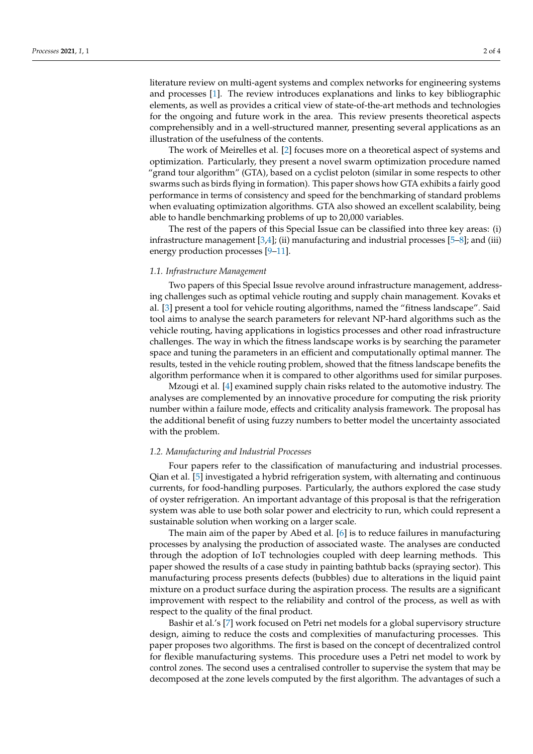literature review on multi-agent systems and complex networks for engineering systems and processes [\[1\]](#page-3-0). The review introduces explanations and links to key bibliographic elements, as well as provides a critical view of state-of-the-art methods and technologies for the ongoing and future work in the area. This review presents theoretical aspects comprehensibly and in a well-structured manner, presenting several applications as an illustration of the usefulness of the contents.

The work of Meirelles et al. [\[2\]](#page-3-1) focuses more on a theoretical aspect of systems and optimization. Particularly, they present a novel swarm optimization procedure named "grand tour algorithm" (GTA), based on a cyclist peloton (similar in some respects to other swarms such as birds flying in formation). This paper shows how GTA exhibits a fairly good performance in terms of consistency and speed for the benchmarking of standard problems when evaluating optimization algorithms. GTA also showed an excellent scalability, being able to handle benchmarking problems of up to 20,000 variables.

The rest of the papers of this Special Issue can be classified into three key areas: (i) infrastructure management  $[3,4]$  $[3,4]$ ; (ii) manufacturing and industrial processes  $[5-8]$  $[5-8]$ ; and (iii) energy production processes [\[9](#page-3-6)[–11\]](#page-3-7).

### *1.1. Infrastructure Management*

Two papers of this Special Issue revolve around infrastructure management, addressing challenges such as optimal vehicle routing and supply chain management. Kovaks et al. [\[3\]](#page-3-2) present a tool for vehicle routing algorithms, named the "fitness landscape". Said tool aims to analyse the search parameters for relevant NP-hard algorithms such as the vehicle routing, having applications in logistics processes and other road infrastructure challenges. The way in which the fitness landscape works is by searching the parameter space and tuning the parameters in an efficient and computationally optimal manner. The results, tested in the vehicle routing problem, showed that the fitness landscape benefits the algorithm performance when it is compared to other algorithms used for similar purposes.

Mzougi et al. [\[4\]](#page-3-3) examined supply chain risks related to the automotive industry. The analyses are complemented by an innovative procedure for computing the risk priority number within a failure mode, effects and criticality analysis framework. The proposal has the additional benefit of using fuzzy numbers to better model the uncertainty associated with the problem.

#### *1.2. Manufacturing and Industrial Processes*

Four papers refer to the classification of manufacturing and industrial processes. Qian et al. [\[5\]](#page-3-4) investigated a hybrid refrigeration system, with alternating and continuous currents, for food-handling purposes. Particularly, the authors explored the case study of oyster refrigeration. An important advantage of this proposal is that the refrigeration system was able to use both solar power and electricity to run, which could represent a sustainable solution when working on a larger scale.

The main aim of the paper by Abed et al. [\[6\]](#page-3-8) is to reduce failures in manufacturing processes by analysing the production of associated waste. The analyses are conducted through the adoption of IoT technologies coupled with deep learning methods. This paper showed the results of a case study in painting bathtub backs (spraying sector). This manufacturing process presents defects (bubbles) due to alterations in the liquid paint mixture on a product surface during the aspiration process. The results are a significant improvement with respect to the reliability and control of the process, as well as with respect to the quality of the final product.

Bashir et al.'s [\[7\]](#page-3-9) work focused on Petri net models for a global supervisory structure design, aiming to reduce the costs and complexities of manufacturing processes. This paper proposes two algorithms. The first is based on the concept of decentralized control for flexible manufacturing systems. This procedure uses a Petri net model to work by control zones. The second uses a centralised controller to supervise the system that may be decomposed at the zone levels computed by the first algorithm. The advantages of such a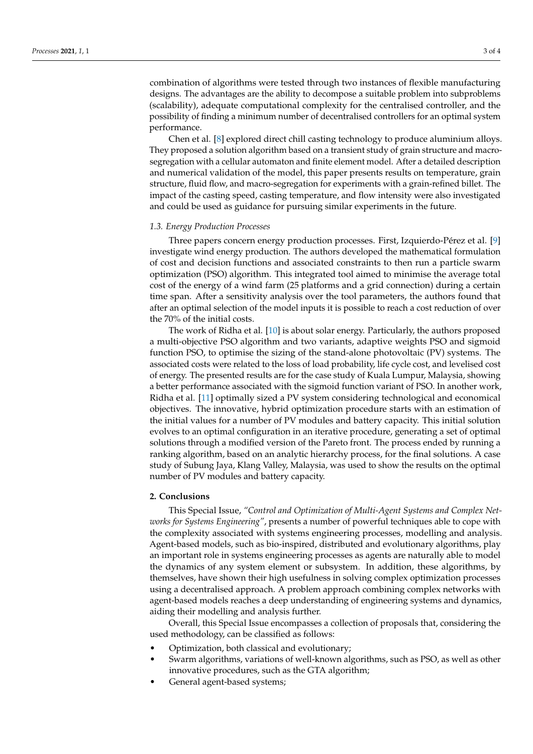combination of algorithms were tested through two instances of flexible manufacturing designs. The advantages are the ability to decompose a suitable problem into subproblems (scalability), adequate computational complexity for the centralised controller, and the possibility of finding a minimum number of decentralised controllers for an optimal system performance.

Chen et al. [\[8\]](#page-3-5) explored direct chill casting technology to produce aluminium alloys. They proposed a solution algorithm based on a transient study of grain structure and macrosegregation with a cellular automaton and finite element model. After a detailed description and numerical validation of the model, this paper presents results on temperature, grain structure, fluid flow, and macro-segregation for experiments with a grain-refined billet. The impact of the casting speed, casting temperature, and flow intensity were also investigated and could be used as guidance for pursuing similar experiments in the future.

#### *1.3. Energy Production Processes*

Three papers concern energy production processes. First, Izquierdo-Pérez et al. [\[9\]](#page-3-6) investigate wind energy production. The authors developed the mathematical formulation of cost and decision functions and associated constraints to then run a particle swarm optimization (PSO) algorithm. This integrated tool aimed to minimise the average total cost of the energy of a wind farm (25 platforms and a grid connection) during a certain time span. After a sensitivity analysis over the tool parameters, the authors found that after an optimal selection of the model inputs it is possible to reach a cost reduction of over the 70% of the initial costs.

The work of Ridha et al. [\[10\]](#page-3-10) is about solar energy. Particularly, the authors proposed a multi-objective PSO algorithm and two variants, adaptive weights PSO and sigmoid function PSO, to optimise the sizing of the stand-alone photovoltaic (PV) systems. The associated costs were related to the loss of load probability, life cycle cost, and levelised cost of energy. The presented results are for the case study of Kuala Lumpur, Malaysia, showing a better performance associated with the sigmoid function variant of PSO. In another work, Ridha et al. [\[11\]](#page-3-7) optimally sized a PV system considering technological and economical objectives. The innovative, hybrid optimization procedure starts with an estimation of the initial values for a number of PV modules and battery capacity. This initial solution evolves to an optimal configuration in an iterative procedure, generating a set of optimal solutions through a modified version of the Pareto front. The process ended by running a ranking algorithm, based on an analytic hierarchy process, for the final solutions. A case study of Subung Jaya, Klang Valley, Malaysia, was used to show the results on the optimal number of PV modules and battery capacity.

#### **2. Conclusions**

This Special Issue, *"Control and Optimization of Multi-Agent Systems and Complex Networks for Systems Engineering"*, presents a number of powerful techniques able to cope with the complexity associated with systems engineering processes, modelling and analysis. Agent-based models, such as bio-inspired, distributed and evolutionary algorithms, play an important role in systems engineering processes as agents are naturally able to model the dynamics of any system element or subsystem. In addition, these algorithms, by themselves, have shown their high usefulness in solving complex optimization processes using a decentralised approach. A problem approach combining complex networks with agent-based models reaches a deep understanding of engineering systems and dynamics, aiding their modelling and analysis further.

Overall, this Special Issue encompasses a collection of proposals that, considering the used methodology, can be classified as follows:

- Optimization, both classical and evolutionary;
- Swarm algorithms, variations of well-known algorithms, such as PSO, as well as other innovative procedures, such as the GTA algorithm;
- General agent-based systems;